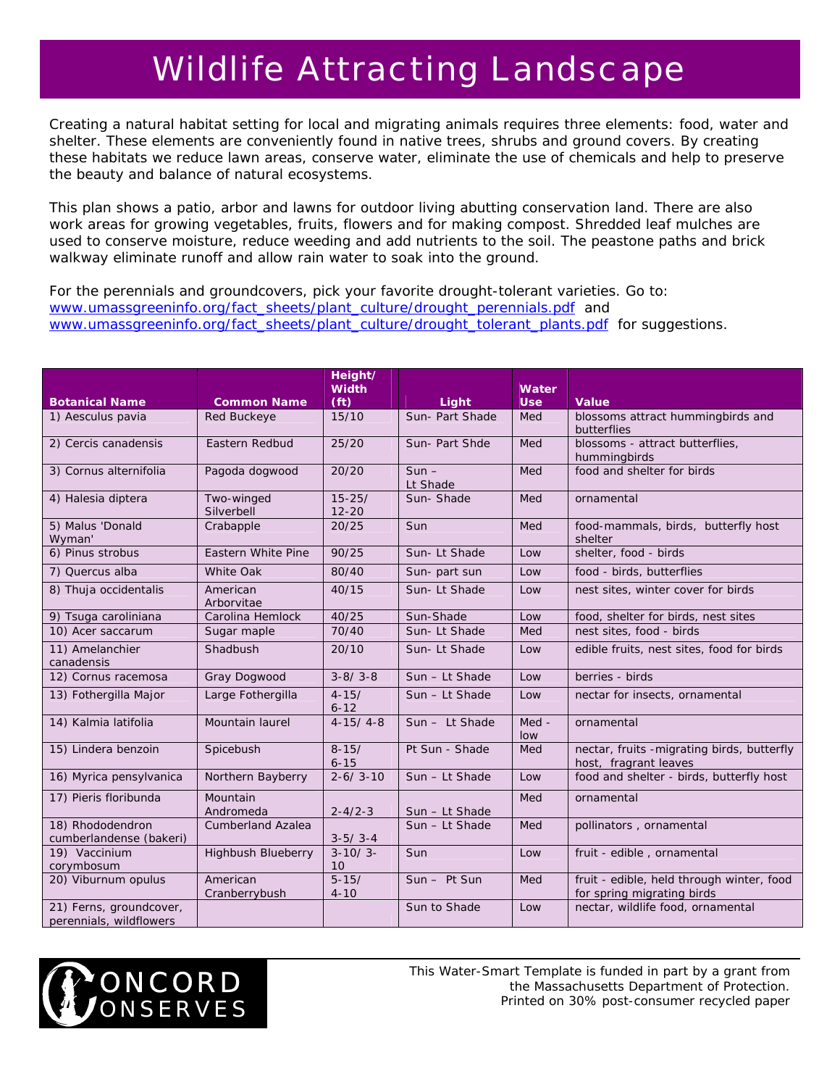## Wildlife Attracting Landscape

Creating a natural habitat setting for local and migrating animals requires three elements: food, water and shelter. These elements are conveniently found in native trees, shrubs and ground covers. By creating these habitats we reduce lawn areas, conserve water, eliminate the use of chemicals and help to preserve the beauty and balance of natural ecosystems.

This plan shows a patio, arbor and lawns for outdoor living abutting conservation land. There are also work areas for growing vegetables, fruits, flowers and for making compost. Shredded leaf mulches are used to conserve moisture, reduce weeding and add nutrients to the soil. The peastone paths and brick walkway eliminate runoff and allow rain water to soak into the ground.

For the perennials and groundcovers, pick your favorite drought-tolerant varieties. Go to: [www.umassgreeninfo.org/fact\\_sheets/plant\\_culture/drought\\_perennials.pdf](http://www.umassgreeninfo.org/fact_sheets/plant_culture/drought_perennials.pdf) and [www.umassgreeninfo.org/fact\\_sheets/plant\\_culture/drought\\_tolerant\\_plants.pdf](http://www.umassgreeninfo.org/fact_sheets/plant_culture/drought_tolerant_plants.pdf) for suggestions.

|                                                    |                           | Height/<br><b>Width</b> |                     | Water        |                                                                         |
|----------------------------------------------------|---------------------------|-------------------------|---------------------|--------------|-------------------------------------------------------------------------|
| <b>Botanical Name</b>                              | <b>Common Name</b>        | (f <sup>t</sup> )       | Light               | <b>Use</b>   | <b>Value</b>                                                            |
| 1) Aesculus pavia                                  | <b>Red Buckeye</b>        | 15/10                   | Sun- Part Shade     | Med          | blossoms attract hummingbirds and<br>butterflies                        |
| 2) Cercis canadensis                               | Eastern Redbud            | 25/20                   | Sun- Part Shde      | Med          | blossoms - attract butterflies,<br>hummingbirds                         |
| 3) Cornus alternifolia                             | Pagoda dogwood            | 20/20                   | $Sun -$<br>Lt Shade | Med          | food and shelter for birds                                              |
| 4) Halesia diptera                                 | Two-winged<br>Silverbell  | $15 - 25/$<br>$12 - 20$ | Sun-Shade           | Med          | ornamental                                                              |
| 5) Malus 'Donald<br>Wyman'                         | Crabapple                 | 20/25                   | Sun                 | Med          | food-mammals, birds, butterfly host<br>shelter                          |
| 6) Pinus strobus                                   | <b>Eastern White Pine</b> | 90/25                   | Sun-Lt Shade        | Low          | shelter, food - birds                                                   |
| 7) Quercus alba                                    | <b>White Oak</b>          | 80/40                   | Sun- part sun       | Low          | food - birds, butterflies                                               |
| 8) Thuja occidentalis                              | American<br>Arborvitae    | 40/15                   | Sun-Lt Shade        | Low          | nest sites, winter cover for birds                                      |
| 9) Tsuga caroliniana                               | Carolina Hemlock          | 40/25                   | Sun-Shade           | Low          | food, shelter for birds, nest sites                                     |
| 10) Acer saccarum                                  | Sugar maple               | 70/40                   | Sun-Lt Shade        | Med          | nest sites, food - birds                                                |
| 11) Amelanchier<br>canadensis                      | Shadbush                  | 20/10                   | Sun-Lt Shade        | Low          | edible fruits, nest sites, food for birds                               |
| 12) Cornus racemosa                                | Gray Dogwood              | $3 - 8/3 - 8$           | Sun - Lt Shade      | Low          | berries - birds                                                         |
| 13) Fothergilla Major                              | Large Fothergilla         | $4 - 15/$<br>$6 - 12$   | Sun - Lt Shade      | Low          | nectar for insects, ornamental                                          |
| 14) Kalmia latifolia                               | Mountain laurel           | $4 - 15/4 - 8$          | Sun - Lt Shade      | Med -<br>low | ornamental                                                              |
| 15) Lindera benzoin                                | Spicebush                 | $8 - 15/$<br>$6 - 15$   | Pt Sun - Shade      | Med          | nectar, fruits - migrating birds, butterfly<br>host, fragrant leaves    |
| 16) Myrica pensylvanica                            | Northern Bayberry         | $2 - 6/3 - 10$          | Sun - Lt Shade      | Low          | food and shelter - birds, butterfly host                                |
| 17) Pieris floribunda                              | Mountain<br>Andromeda     | $2 - 4/2 - 3$           | Sun - Lt Shade      | Med          | ornamental                                                              |
| 18) Rhododendron<br>cumberlandense (bakeri)        | <b>Cumberland Azalea</b>  | $3-5/3-4$               | Sun - Lt Shade      | Med          | pollinators, ornamental                                                 |
| 19) Vaccinium<br>corymbosum                        | <b>Highbush Blueberry</b> | $3 - 10/3 -$<br>10      | Sun                 | Low          | fruit - edible, ornamental                                              |
| 20) Viburnum opulus                                | American<br>Cranberrybush | $5 - 15/$<br>$4 - 10$   | $Sun - Pt$ Sun      | Med          | fruit - edible, held through winter, food<br>for spring migrating birds |
| 21) Ferns, groundcover,<br>perennials, wildflowers |                           |                         | Sun to Shade        | Low          | nectar, wildlife food, ornamental                                       |



*This Water-Smart Template is funded in part by a grant from the Massachusetts Department of Protection. Printed on 30% post-consumer recycled paper*